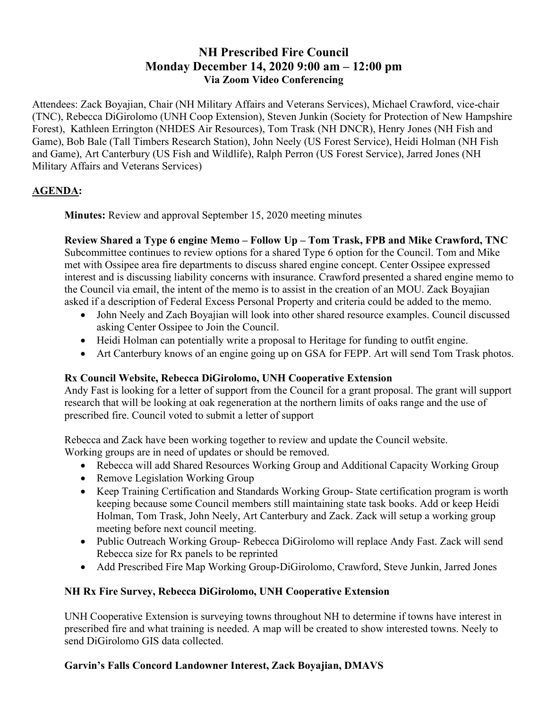# NH Prescribed Fire Council Monday December 14, 2020 9:00 am – 12:00 pm Via Zoom Video Conferencing

Attendees: Zack Boyajian, Chair (NH Military Affairs and Veterans Services), Michael Crawford, vice-chair (TNC), Rebecca DiGirolomo (UNH Coop Extension), Steven Junkin (Society for Protection of New Hampshire Forest), Kathleen Errington (NHDES Air Resources), Tom Trask (NH DNCR), Henry Jones (NH Fish and Game), Bob Bale (Tall Timbers Research Station), John Neely (US Forest Service), Heidi Holman (NH Fish and Game), Art Canterbury (US Fish and Wildlife), Ralph Perron (US Forest Service), Jarred Jones (NH Military Affairs and Veterans Services)

## AGENDA:

Minutes: Review and approval September 15, 2020 meeting minutes

Review Shared a Type 6 engine Memo – Follow Up – Tom Trask, FPB and Mike Crawford, TNC Subcommittee continues to review options for a shared Type 6 option for the Council. Tom and Mike met with Ossipee area fire departments to discuss shared engine concept. Center Ossipee expressed interest and is discussing liability concerns with insurance. Crawford presented a shared engine memo to the Council via email, the intent of the memo is to assist in the creation of an MOU. Zack Boyajian asked if a description of Federal Excess Personal Property and criteria could be added to the memo.

- John Neely and Zach Boyajian will look into other shared resource examples. Council discussed asking Center Ossipee to Join the Council.
- Heidi Holman can potentially write a proposal to Heritage for funding to outfit engine.
- Art Canterbury knows of an engine going up on GSA for FEPP. Art will send Tom Trask photos.

### Rx Council Website, Rebecca DiGirolomo, UNH Cooperative Extension

Andy Fast is looking for a letter of support from the Council for a grant proposal. The grant will support research that will be looking at oak regeneration at the northern limits of oaks range and the use of prescribed fire. Council voted to submit a letter of support

Rebecca and Zack have been working together to review and update the Council website. Working groups are in need of updates or should be removed.

- Rebecca will add Shared Resources Working Group and Additional Capacity Working Group
- Remove Legislation Working Group
- Keep Training Certification and Standards Working Group- State certification program is worth keeping because some Council members still maintaining state task books. Add or keep Heidi Holman, Tom Trask, John Neely, Art Canterbury and Zack. Zack will setup a working group meeting before next council meeting.
- Public Outreach Working Group- Rebecca DiGirolomo will replace Andy Fast. Zack will send Rebecca size for Rx panels to be reprinted
- Add Prescribed Fire Map Working Group-DiGirolomo, Crawford, Steve Junkin, Jarred Jones

### NH Rx Fire Survey, Rebecca DiGirolomo, UNH Cooperative Extension

UNH Cooperative Extension is surveying towns throughout NH to determine if towns have interest in prescribed fire and what training is needed. A map will be created to show interested towns. Neely to send DiGirolomo GIS data collected.

## Garvin's Falls Concord Landowner Interest, Zack Boyajian, DMAVS